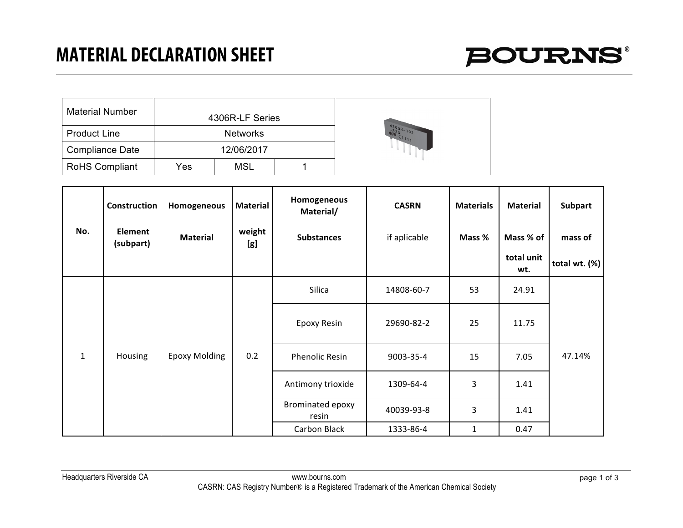

| <b>Material Number</b> |     | 4306R-LF Series |  |                           |  |  |  |
|------------------------|-----|-----------------|--|---------------------------|--|--|--|
| <b>Product Line</b>    |     | <b>Networks</b> |  | $4306R - 102$<br>$C_{11}$ |  |  |  |
| <b>Compliance Date</b> |     | 12/06/2017      |  |                           |  |  |  |
| <b>RoHS Compliant</b>  | Yes | <b>MSL</b>      |  |                           |  |  |  |

|              | Construction         | Homogeneous          | <b>Material</b> | Homogeneous<br>Material/  | <b>CASRN</b> | <b>Materials</b> | Material          | Subpart          |
|--------------|----------------------|----------------------|-----------------|---------------------------|--------------|------------------|-------------------|------------------|
| No.          | Element<br>(subpart) | <b>Material</b>      | weight<br>[g]   | <b>Substances</b>         | if aplicable | Mass %           | Mass % of         | mass of          |
|              |                      |                      |                 |                           |              |                  | total unit<br>wt. | total wt. $(\%)$ |
|              |                      |                      |                 | Silica                    | 14808-60-7   | 53               | 24.91             |                  |
|              |                      |                      |                 | Epoxy Resin               | 29690-82-2   | 25               | 11.75             |                  |
| $\mathbf{1}$ | <b>Housing</b>       | <b>Epoxy Molding</b> | 0.2             | <b>Phenolic Resin</b>     | 9003-35-4    | 15               | 7.05              | 47.14%           |
|              |                      |                      |                 | Antimony trioxide         | 1309-64-4    | 3                | 1.41              |                  |
|              |                      |                      |                 | Brominated epoxy<br>resin | 40039-93-8   | 3                | 1.41              |                  |
|              |                      |                      |                 | Carbon Black              | 1333-86-4    | 1                | 0.47              |                  |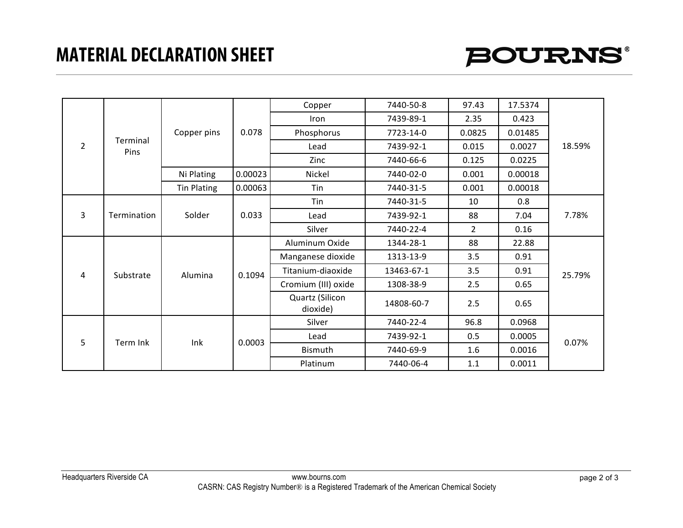## **MATERIAL DECLARATION SHEET**



| $\overline{2}$ |                  | Copper pins        | 0.078   | Copper                      | 7440-50-8  | 97.43          | 17.5374 | 18.59% |
|----------------|------------------|--------------------|---------|-----------------------------|------------|----------------|---------|--------|
|                |                  |                    |         | Iron                        | 7439-89-1  | 2.35           | 0.423   |        |
|                |                  |                    |         | Phosphorus                  | 7723-14-0  | 0.0825         | 0.01485 |        |
|                | Terminal<br>Pins |                    |         | Lead                        | 7439-92-1  | 0.015          | 0.0027  |        |
|                |                  |                    |         | Zinc                        | 7440-66-6  | 0.125          | 0.0225  |        |
|                |                  | Ni Plating         | 0.00023 | Nickel                      | 7440-02-0  | 0.001          | 0.00018 |        |
|                |                  | <b>Tin Plating</b> | 0.00063 | Tin                         | 7440-31-5  | 0.001          | 0.00018 |        |
|                |                  | Solder             | 0.033   | <b>Tin</b>                  | 7440-31-5  | 10             | 0.8     | 7.78%  |
| 3              | Termination      |                    |         | Lead                        | 7439-92-1  | 88             | 7.04    |        |
|                |                  |                    |         | Silver                      | 7440-22-4  | $\overline{2}$ | 0.16    |        |
|                | Substrate        | Alumina            | 0.1094  | Aluminum Oxide              | 1344-28-1  | 88             | 22.88   | 25.79% |
|                |                  |                    |         | Manganese dioxide           | 1313-13-9  | 3.5            | 0.91    |        |
| 4              |                  |                    |         | Titanium-diaoxide           | 13463-67-1 | 3.5            | 0.91    |        |
|                |                  |                    |         | Cromium (III) oxide         | 1308-38-9  | 2.5            | 0.65    |        |
|                |                  |                    |         | Quartz (Silicon<br>dioxide) | 14808-60-7 | 2.5            | 0.65    |        |
| 5              | Term Ink         | Ink                | 0.0003  | Silver                      | 7440-22-4  | 96.8           | 0.0968  | 0.07%  |
|                |                  |                    |         | Lead                        | 7439-92-1  | 0.5            | 0.0005  |        |
|                |                  |                    |         | Bismuth                     | 7440-69-9  | 1.6            | 0.0016  |        |
|                |                  |                    |         | Platinum                    | 7440-06-4  | 1.1            | 0.0011  |        |